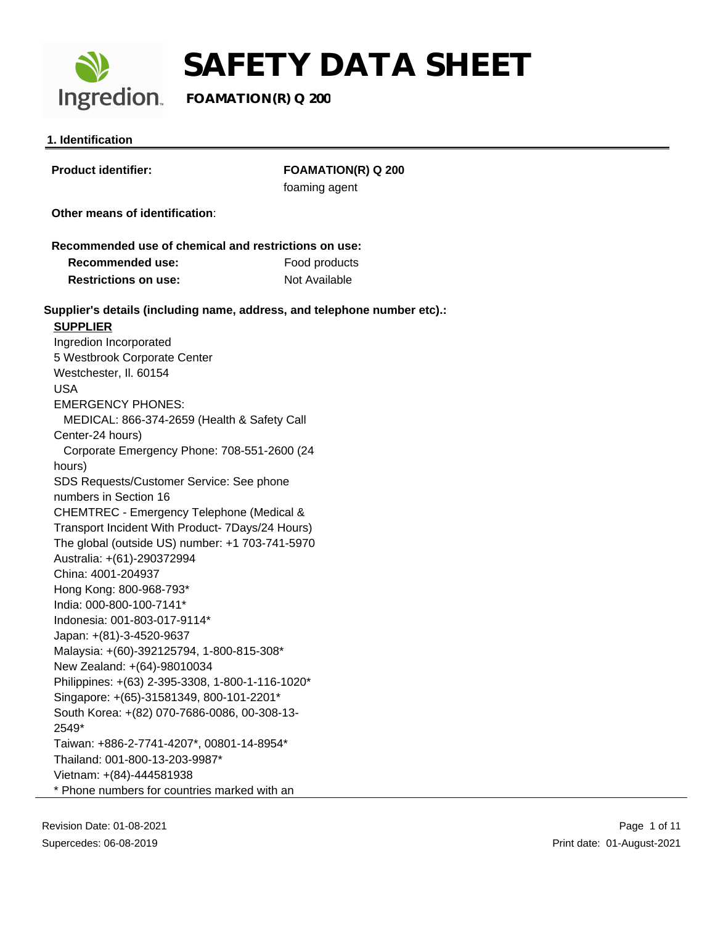

#### **1. Identification**

| <b>Product identifier:</b>                                               | <b>FOAMATION(R) Q 200</b> |
|--------------------------------------------------------------------------|---------------------------|
|                                                                          | foaming agent             |
| Other means of identification:                                           |                           |
| Recommended use of chemical and restrictions on use:                     |                           |
| <b>Recommended use:</b>                                                  | Food products             |
| <b>Restrictions on use:</b>                                              | Not Available             |
| Supplier's details (including name, address, and telephone number etc).: |                           |
| <b>SUPPLIER</b>                                                          |                           |
| Ingredion Incorporated                                                   |                           |
| 5 Westbrook Corporate Center                                             |                           |
| Westchester, II. 60154                                                   |                           |
| <b>USA</b>                                                               |                           |
| <b>EMERGENCY PHONES:</b>                                                 |                           |
| MEDICAL: 866-374-2659 (Health & Safety Call                              |                           |
| Center-24 hours)                                                         |                           |
| Corporate Emergency Phone: 708-551-2600 (24                              |                           |
| hours)                                                                   |                           |
| SDS Requests/Customer Service: See phone                                 |                           |
| numbers in Section 16                                                    |                           |
| CHEMTREC - Emergency Telephone (Medical &                                |                           |
| Transport Incident With Product- 7Days/24 Hours)                         |                           |
| The global (outside US) number: +1 703-741-5970                          |                           |
| Australia: +(61)-290372994                                               |                           |
| China: 4001-204937                                                       |                           |
| Hong Kong: 800-968-793*                                                  |                           |
| India: 000-800-100-7141*                                                 |                           |
| Indonesia: 001-803-017-9114*                                             |                           |
| Japan: +(81)-3-4520-9637                                                 |                           |
| Malaysia: +(60)-392125794, 1-800-815-308*                                |                           |
| New Zealand: +(64)-98010034                                              |                           |
| Philippines: +(63) 2-395-3308, 1-800-1-116-1020*                         |                           |
| Singapore: +(65)-31581349, 800-101-2201*                                 |                           |
| South Korea: +(82) 070-7686-0086, 00-308-13-                             |                           |
| 2549*                                                                    |                           |
| Taiwan: +886-2-7741-4207*, 00801-14-8954*                                |                           |
| Thailand: 001-800-13-203-9987*                                           |                           |
| Vietnam: +(84)-444581938                                                 |                           |
| * Phone numbers for countries marked with an                             |                           |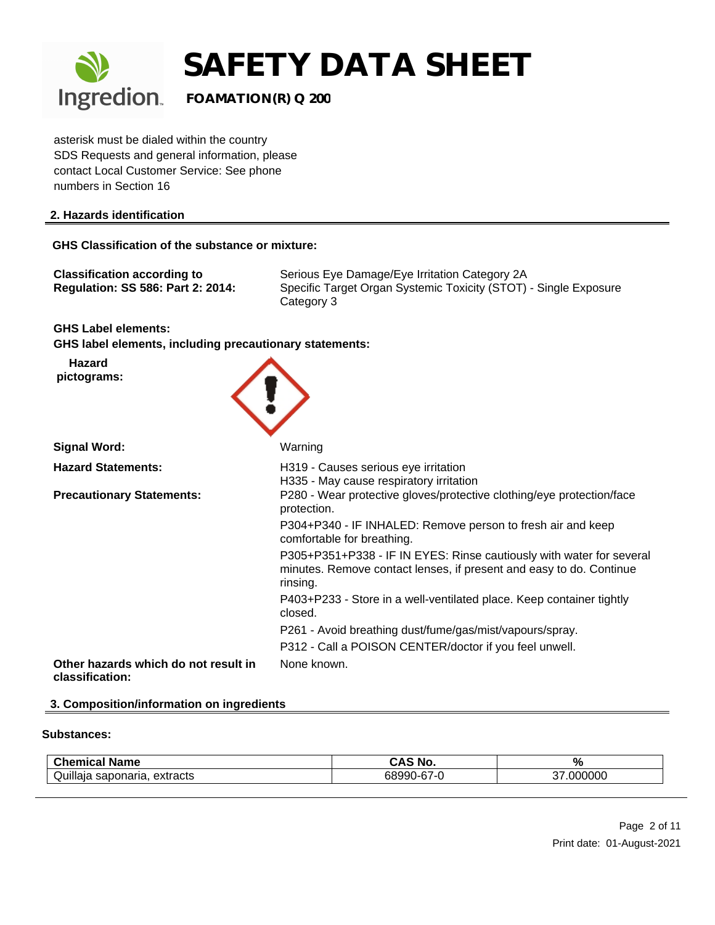

asterisk must be dialed within the country SDS Requests and general information, please contact Local Customer Service: See phone numbers in Section 16

#### **2. Hazards identification**

#### **GHS Classification of the substance or mixture:**

| <b>Classification according to</b>       | Serious Eye Damage/Eye Irritation Category 2A                    |
|------------------------------------------|------------------------------------------------------------------|
| <b>Regulation: SS 586: Part 2: 2014:</b> | Specific Target Organ Systemic Toxicity (STOT) - Single Exposure |
|                                          | Category 3                                                       |

**GHS Label elements:**

**GHS label elements, including precautionary statements:**

**Hazard pictograms:**



| <b>Signal Word:</b>                                     | Warning                                                                                                                                                 |
|---------------------------------------------------------|---------------------------------------------------------------------------------------------------------------------------------------------------------|
| <b>Hazard Statements:</b>                               | H319 - Causes serious eye irritation<br>H335 - May cause respiratory irritation                                                                         |
| <b>Precautionary Statements:</b>                        | P280 - Wear protective gloves/protective clothing/eye protection/face<br>protection.                                                                    |
|                                                         | P304+P340 - IF INHALED: Remove person to fresh air and keep<br>comfortable for breathing.                                                               |
|                                                         | P305+P351+P338 - IF IN EYES: Rinse cautiously with water for several<br>minutes. Remove contact lenses, if present and easy to do. Continue<br>rinsing. |
|                                                         | P403+P233 - Store in a well-ventilated place. Keep container tightly<br>closed.                                                                         |
|                                                         | P261 - Avoid breathing dust/fume/gas/mist/vapours/spray.                                                                                                |
|                                                         | P312 - Call a POISON CENTER/doctor if you feel unwell.                                                                                                  |
| Other hazards which do not result in<br>classification: | None known.                                                                                                                                             |

#### **3. Composition/information on ingredients**

#### **Substances:**

| $\sim$<br>$n$ ami $\sim$<br>. | NC         | $\mathbf{o}$<br>7ο                            |
|-------------------------------|------------|-----------------------------------------------|
| .<br>∽<br>extracts            | $\sim$ $-$ | $\sim$ $\sim$ $\sim$<br>∼-<br>ററ<br>М<br>ונ ו |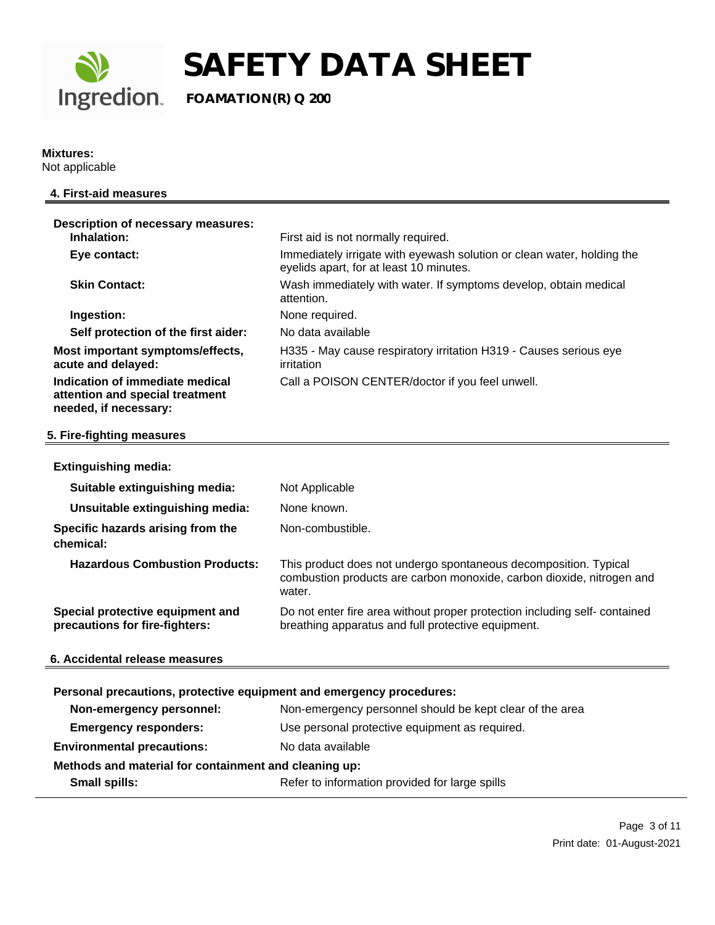

### **Mixtures:**

 $\overline{\phantom{a}}$ 

Not applicable

| 4. First-aid measures                                                                       |                                                                                                                                                     |
|---------------------------------------------------------------------------------------------|-----------------------------------------------------------------------------------------------------------------------------------------------------|
| Description of necessary measures:                                                          |                                                                                                                                                     |
| Inhalation:                                                                                 | First aid is not normally required.                                                                                                                 |
| Eye contact:                                                                                | Immediately irrigate with eyewash solution or clean water, holding the<br>eyelids apart, for at least 10 minutes.                                   |
| <b>Skin Contact:</b>                                                                        | Wash immediately with water. If symptoms develop, obtain medical<br>attention.                                                                      |
| Ingestion:                                                                                  | None required.                                                                                                                                      |
| Self protection of the first aider:                                                         | No data available                                                                                                                                   |
| Most important symptoms/effects,<br>acute and delayed:                                      | H335 - May cause respiratory irritation H319 - Causes serious eye<br>irritation                                                                     |
| Indication of immediate medical<br>attention and special treatment<br>needed, if necessary: | Call a POISON CENTER/doctor if you feel unwell.                                                                                                     |
| 5. Fire-fighting measures                                                                   |                                                                                                                                                     |
|                                                                                             |                                                                                                                                                     |
| <b>Extinguishing media:</b>                                                                 |                                                                                                                                                     |
| Suitable extinguishing media:                                                               | Not Applicable                                                                                                                                      |
| Unsuitable extinguishing media:                                                             | None known.                                                                                                                                         |
| Specific hazards arising from the<br>chemical:                                              | Non-combustible.                                                                                                                                    |
| <b>Hazardous Combustion Products:</b>                                                       | This product does not undergo spontaneous decomposition. Typical<br>combustion products are carbon monoxide, carbon dioxide, nitrogen and<br>water. |
| Special protective equipment and<br>precautions for fire-fighters:                          | Do not enter fire area without proper protection including self- contained<br>breathing apparatus and full protective equipment.                    |
| 6. Accidental release measures                                                              |                                                                                                                                                     |
|                                                                                             |                                                                                                                                                     |
| Personal precautions, protective equipment and emergency procedures:                        |                                                                                                                                                     |
|                                                                                             | Non-emergency personnel: Non-emergency personnel should be kept clear of the area                                                                   |
| <b>Emergency responders:</b>                                                                | Use personal protective equipment as required.                                                                                                      |
| <b>Environmental precautions:</b>                                                           | No data available                                                                                                                                   |
| Methods and material for containment and cleaning up:                                       |                                                                                                                                                     |
| <b>Small spills:</b>                                                                        | Refer to information provided for large spills                                                                                                      |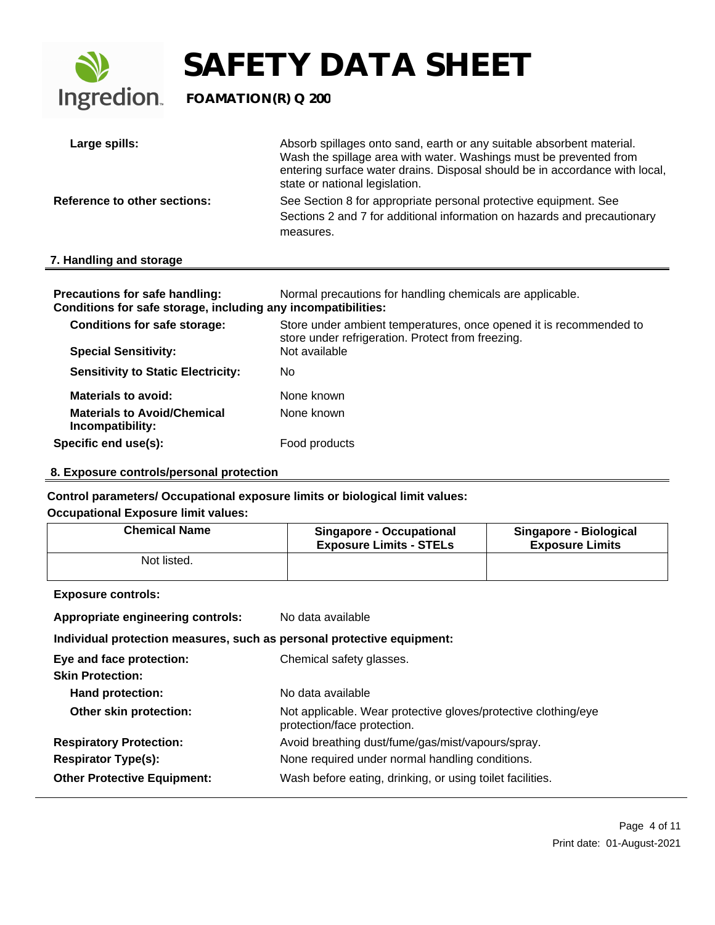

| Large spills:                | Absorb spillages onto sand, earth or any suitable absorbent material.<br>Wash the spillage area with water. Washings must be prevented from<br>entering surface water drains. Disposal should be in accordance with local,<br>state or national legislation. |
|------------------------------|--------------------------------------------------------------------------------------------------------------------------------------------------------------------------------------------------------------------------------------------------------------|
| Reference to other sections: | See Section 8 for appropriate personal protective equipment. See<br>Sections 2 and 7 for additional information on hazards and precautionary<br>measures.                                                                                                    |

#### **7. Handling and storage**

| <b>Precautions for safe handling:</b><br>Conditions for safe storage, including any incompatibilities: | Normal precautions for handling chemicals are applicable.                                                               |
|--------------------------------------------------------------------------------------------------------|-------------------------------------------------------------------------------------------------------------------------|
| <b>Conditions for safe storage:</b>                                                                    | Store under ambient temperatures, once opened it is recommended to<br>store under refrigeration. Protect from freezing. |
| <b>Special Sensitivity:</b>                                                                            | Not available                                                                                                           |
| <b>Sensitivity to Static Electricity:</b>                                                              | No.                                                                                                                     |
| <b>Materials to avoid:</b>                                                                             | None known                                                                                                              |
| <b>Materials to Avoid/Chemical</b><br>Incompatibility:                                                 | None known                                                                                                              |
| Specific end use(s):                                                                                   | Food products                                                                                                           |

#### **8. Exposure controls/personal protection**

### **Control parameters/ Occupational exposure limits or biological limit values:**

### **Occupational Exposure limit values:**

| <b>Chemical Name</b>                                                   | <b>Singapore - Occupational</b><br><b>Exposure Limits - STELs</b>                             | Singapore - Biological<br><b>Exposure Limits</b> |  |
|------------------------------------------------------------------------|-----------------------------------------------------------------------------------------------|--------------------------------------------------|--|
| Not listed.                                                            |                                                                                               |                                                  |  |
| <b>Exposure controls:</b>                                              |                                                                                               |                                                  |  |
| Appropriate engineering controls:                                      | No data available                                                                             |                                                  |  |
| Individual protection measures, such as personal protective equipment: |                                                                                               |                                                  |  |
| Eye and face protection:                                               | Chemical safety glasses.                                                                      |                                                  |  |
| <b>Skin Protection:</b>                                                |                                                                                               |                                                  |  |
| Hand protection:                                                       | No data available                                                                             |                                                  |  |
| Other skin protection:                                                 | Not applicable. Wear protective gloves/protective clothing/eye<br>protection/face protection. |                                                  |  |
| <b>Respiratory Protection:</b>                                         | Avoid breathing dust/fume/gas/mist/vapours/spray.                                             |                                                  |  |
| <b>Respirator Type(s):</b>                                             | None required under normal handling conditions.                                               |                                                  |  |
| <b>Other Protective Equipment:</b>                                     | Wash before eating, drinking, or using toilet facilities.                                     |                                                  |  |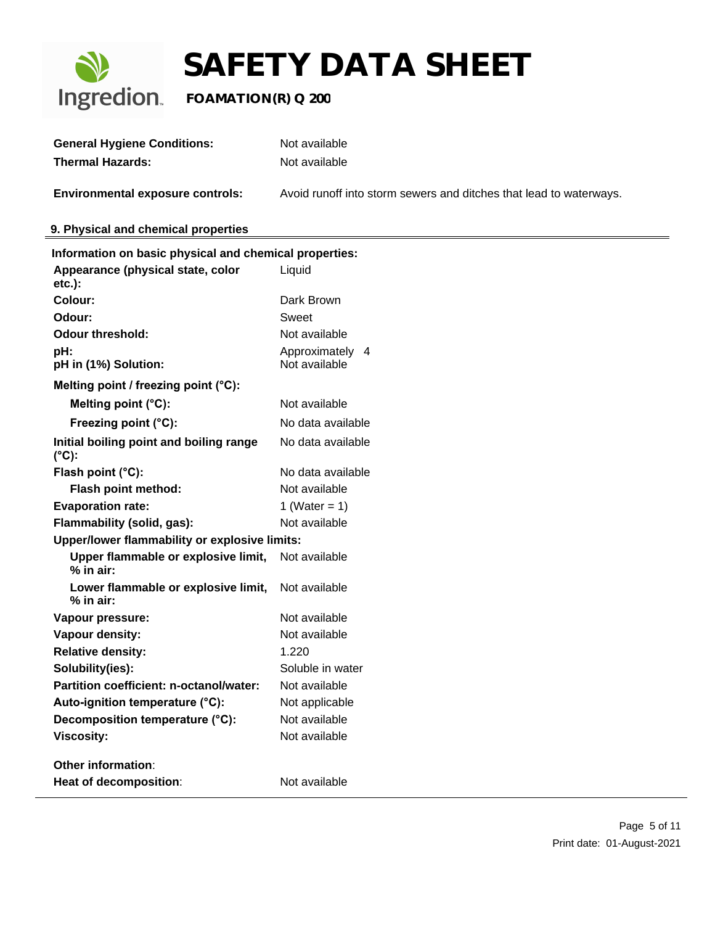

| <b>General Hygiene Conditions:</b>                         | Not available                                                      |
|------------------------------------------------------------|--------------------------------------------------------------------|
| <b>Thermal Hazards:</b>                                    | Not available                                                      |
| <b>Environmental exposure controls:</b>                    | Avoid runoff into storm sewers and ditches that lead to waterways. |
| 9. Physical and chemical properties                        |                                                                    |
| Information on basic physical and chemical properties:     |                                                                    |
| Appearance (physical state, color<br>$etc.$ ):             | Liquid                                                             |
| Colour:                                                    | Dark Brown                                                         |
| Odour:                                                     | Sweet                                                              |
| <b>Odour threshold:</b>                                    | Not available                                                      |
| pH:                                                        | Approximately 4                                                    |
| pH in (1%) Solution:                                       | Not available                                                      |
| Melting point / freezing point (°C):                       |                                                                    |
| Melting point (°C):                                        | Not available                                                      |
| Freezing point (°C):                                       | No data available                                                  |
| Initial boiling point and boiling range<br>$(^{\circ}C)$ : | No data available                                                  |
| Flash point (°C):                                          | No data available                                                  |
| Flash point method:                                        | Not available                                                      |
| <b>Evaporation rate:</b>                                   | 1 (Water = $1$ )                                                   |
| Flammability (solid, gas):                                 | Not available                                                      |
| Upper/lower flammability or explosive limits:              |                                                                    |
| Upper flammable or explosive limit,<br>$%$ in air:         | Not available                                                      |
| Lower flammable or explosive limit,<br>$%$ in air:         | Not available                                                      |
| Vapour pressure:                                           | Not available                                                      |
| Vapour density:                                            | Not available                                                      |
| <b>Relative density:</b>                                   | 1.220                                                              |
| Solubility(ies):                                           | Soluble in water                                                   |
| Partition coefficient: n-octanol/water:                    | Not available                                                      |
| Auto-ignition temperature (°C):                            | Not applicable                                                     |
| Decomposition temperature (°C):                            | Not available                                                      |
| <b>Viscosity:</b>                                          | Not available                                                      |
| Other information:                                         |                                                                    |
| Heat of decomposition:                                     | Not available                                                      |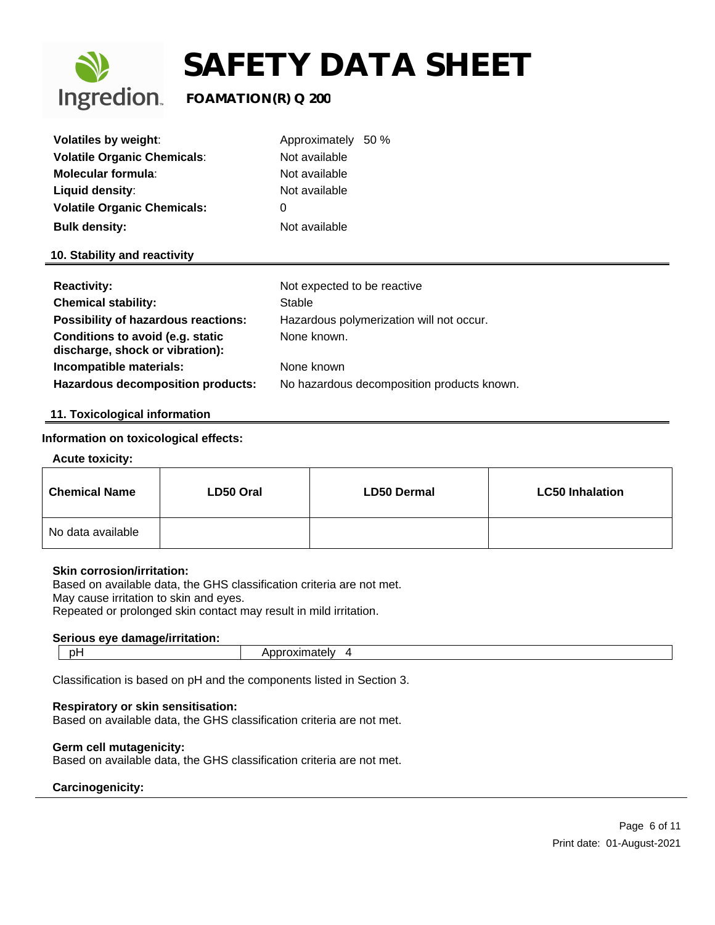

### **Ingredion**. FOAMATION(R) Q 200

| <b>Volatiles by weight:</b>        | Approximately 50 % |
|------------------------------------|--------------------|
| <b>Volatile Organic Chemicals:</b> | Not available      |
| <b>Molecular formula:</b>          | Not available      |
| Liquid density:                    | Not available      |
| <b>Volatile Organic Chemicals:</b> | O                  |
| <b>Bulk density:</b>               | Not available      |

#### **10. Stability and reactivity**

| <b>Reactivity:</b><br><b>Chemical stability:</b>                    | Not expected to be reactive<br>Stable      |
|---------------------------------------------------------------------|--------------------------------------------|
| <b>Possibility of hazardous reactions:</b>                          | Hazardous polymerization will not occur.   |
| Conditions to avoid (e.g. static<br>discharge, shock or vibration): | None known.                                |
| Incompatible materials:                                             | None known                                 |
| Hazardous decomposition products:                                   | No hazardous decomposition products known. |

#### **11. Toxicological information**

#### **Information on toxicological effects:**

#### **Acute toxicity:**

| <b>Chemical Name</b> | LD50 Oral | <b>LD50 Dermal</b> | <b>LC50 Inhalation</b> |
|----------------------|-----------|--------------------|------------------------|
| No data available    |           |                    |                        |

#### **Skin corrosion/irritation:**

Based on available data, the GHS classification criteria are not met. May cause irritation to skin and eyes. Repeated or prolonged skin contact may result in mild irritation.

#### **Serious eye damage/irritation:**

| Эľ |  |  |
|----|--|--|
|    |  |  |

Classification is based on pH and the components listed in Section 3.

#### **Respiratory or skin sensitisation:**

Based on available data, the GHS classification criteria are not met.

#### **Germ cell mutagenicity:**

Based on available data, the GHS classification criteria are not met.

#### **Carcinogenicity:**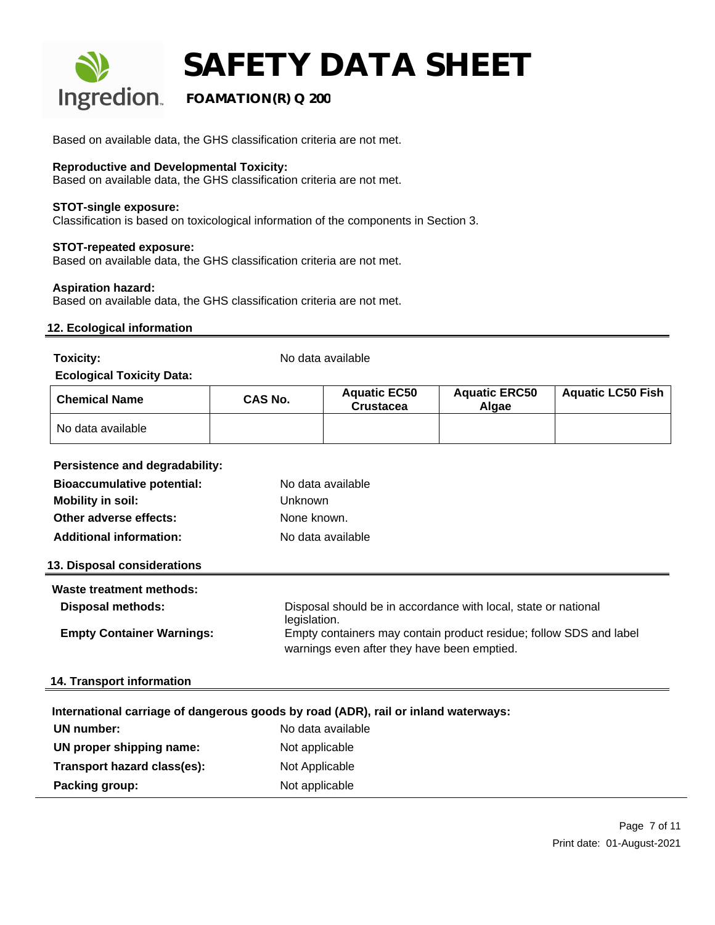

### **Ingredion** FOAMATION(R) Q 200

Based on available data, the GHS classification criteria are not met.

#### **Reproductive and Developmental Toxicity:**

Based on available data, the GHS classification criteria are not met.

#### **STOT-single exposure:**

Classification is based on toxicological information of the components in Section 3.

#### **STOT-repeated exposure:**

Based on available data, the GHS classification criteria are not met.

#### **Aspiration hazard:**

Based on available data, the GHS classification criteria are not met.

#### **12. Ecological information**

**Toxicity:** No data available

#### **Ecological Toxicity Data:**

| <b>Chemical Name</b> | CAS No. | <b>Aguatic EC50</b><br><b>Crustacea</b> | <b>Aquatic ERC50</b><br>Alaae | <b>Aquatic LC50 Fish</b> |
|----------------------|---------|-----------------------------------------|-------------------------------|--------------------------|
| No data available    |         |                                         |                               |                          |

#### **Persistence and degradability:**

| <b>Bioaccumulative potential:</b> | No data available |
|-----------------------------------|-------------------|
| <b>Mobility in soil:</b>          | Unknown           |
| Other adverse effects:            | None known.       |
| <b>Additional information:</b>    | No data available |

#### **13. Disposal considerations**

| Waste treatment methods:         |                                                                    |
|----------------------------------|--------------------------------------------------------------------|
| <b>Disposal methods:</b>         | Disposal should be in accordance with local, state or national     |
|                                  | legislation.                                                       |
| <b>Empty Container Warnings:</b> | Empty containers may contain product residue; follow SDS and label |
|                                  | warnings even after they have been emptied.                        |

#### **14. Transport information**

| International carriage of dangerous goods by road (ADR), rail or inland waterways: |                |  |  |  |  |  |
|------------------------------------------------------------------------------------|----------------|--|--|--|--|--|
| No data available<br>UN number:                                                    |                |  |  |  |  |  |
| UN proper shipping name:                                                           | Not applicable |  |  |  |  |  |
| Transport hazard class(es):                                                        | Not Applicable |  |  |  |  |  |
| Packing group:                                                                     | Not applicable |  |  |  |  |  |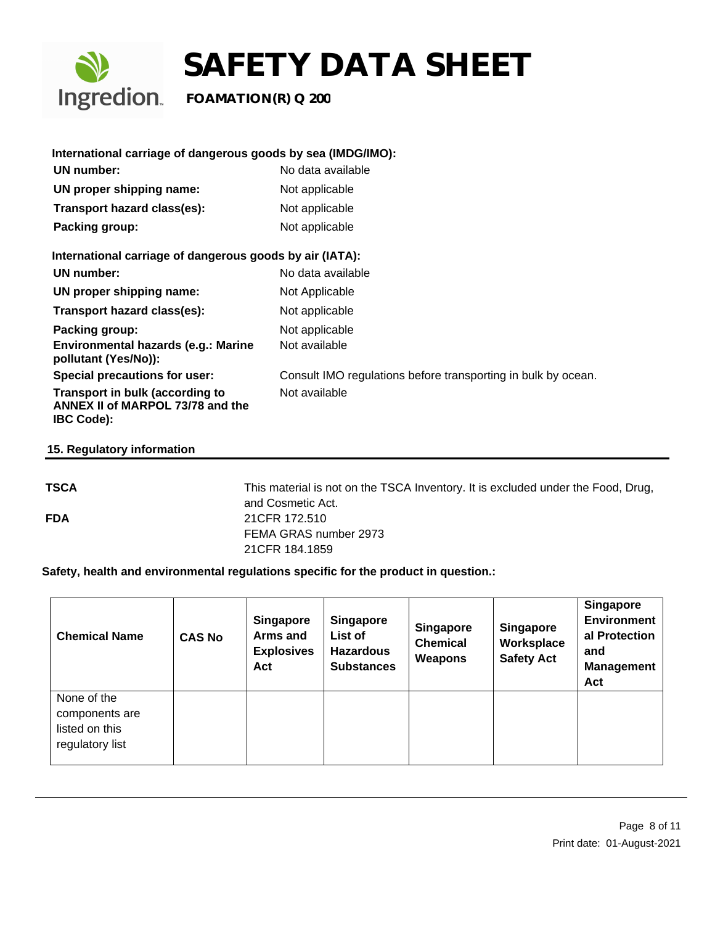

| International carriage of dangerous goods by sea (IMDG/IMO):                             |                                                               |
|------------------------------------------------------------------------------------------|---------------------------------------------------------------|
| UN number:                                                                               | No data available                                             |
| UN proper shipping name:                                                                 | Not applicable                                                |
| Transport hazard class(es):                                                              | Not applicable                                                |
| Packing group:                                                                           | Not applicable                                                |
| International carriage of dangerous goods by air (IATA):                                 |                                                               |
| UN number:                                                                               | No data available                                             |
| UN proper shipping name:                                                                 | Not Applicable                                                |
| Transport hazard class(es):                                                              | Not applicable                                                |
| Packing group:                                                                           | Not applicable                                                |
| Environmental hazards (e.g.: Marine<br>pollutant (Yes/No)):                              | Not available                                                 |
| Special precautions for user:                                                            | Consult IMO regulations before transporting in bulk by ocean. |
| Transport in bulk (according to<br>ANNEX II of MARPOL 73/78 and the<br><b>IBC Code):</b> | Not available                                                 |

#### **15. Regulatory information**

| <b>TSCA</b> | This material is not on the TSCA Inventory. It is excluded under the Food, Drug,<br>and Cosmetic Act. |
|-------------|-------------------------------------------------------------------------------------------------------|
| <b>FDA</b>  | 21CFR 172.510                                                                                         |
|             | FEMA GRAS number 2973                                                                                 |
|             | 21 CFR 184.1859                                                                                       |

#### **Safety, health and environmental regulations specific for the product in question.:**

| <b>Chemical Name</b>                                               | <b>CAS No</b> | <b>Singapore</b><br>Arms and<br><b>Explosives</b><br>Act | <b>Singapore</b><br>List of<br><b>Hazardous</b><br><b>Substances</b> | <b>Singapore</b><br><b>Chemical</b><br>Weapons | <b>Singapore</b><br>Worksplace<br><b>Safety Act</b> | <b>Singapore</b><br><b>Environment</b><br>al Protection<br>and<br><b>Management</b><br>Act |
|--------------------------------------------------------------------|---------------|----------------------------------------------------------|----------------------------------------------------------------------|------------------------------------------------|-----------------------------------------------------|--------------------------------------------------------------------------------------------|
| None of the<br>components are<br>listed on this<br>regulatory list |               |                                                          |                                                                      |                                                |                                                     |                                                                                            |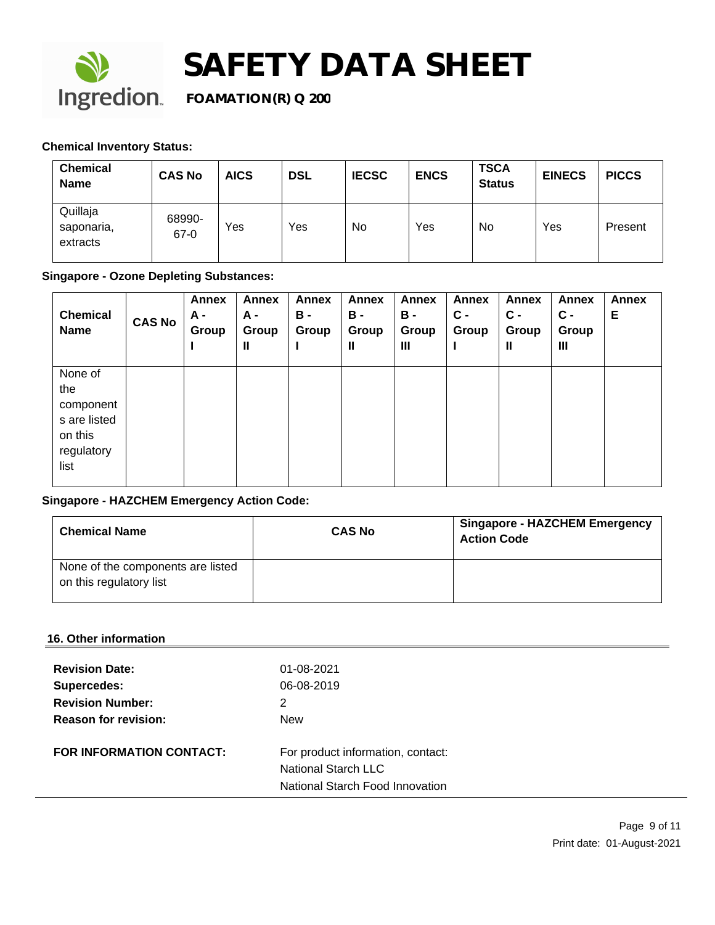

### **Chemical Inventory Status:**

| <b>Chemical</b><br><b>Name</b>     | <b>CAS No</b>    | <b>AICS</b> | <b>DSL</b> | <b>IECSC</b> | <b>ENCS</b> | <b>TSCA</b><br><b>Status</b> | <b>EINECS</b> | <b>PICCS</b> |
|------------------------------------|------------------|-------------|------------|--------------|-------------|------------------------------|---------------|--------------|
| Quillaja<br>saponaria,<br>extracts | 68990-<br>$67-0$ | Yes         | Yes        | No           | Yes         | No                           | Yes           | Present      |

### **Singapore - Ozone Depleting Substances:**

| <b>Chemical</b><br><b>Name</b>                                               | <b>CAS No</b> | <b>Annex</b><br>A -<br>Group | <b>Annex</b><br>A -<br>Group<br>Ш | Annex<br>в.<br>Group | <b>Annex</b><br>в-<br>Group<br>Ш | Annex<br><b>B</b> -<br>Group<br>Ш | <b>Annex</b><br>$\mathsf{C}$ -<br>Group | <b>Annex</b><br>$c -$<br>Group<br>Ш | Annex<br>$c -$<br>Group<br>$\mathbf{m}$ | <b>Annex</b><br>Е |
|------------------------------------------------------------------------------|---------------|------------------------------|-----------------------------------|----------------------|----------------------------------|-----------------------------------|-----------------------------------------|-------------------------------------|-----------------------------------------|-------------------|
| None of<br>the<br>component<br>s are listed<br>on this<br>regulatory<br>list |               |                              |                                   |                      |                                  |                                   |                                         |                                     |                                         |                   |

### **Singapore - HAZCHEM Emergency Action Code:**

| <b>Chemical Name</b>                                         | <b>CAS No</b> | <b>Singapore - HAZCHEM Emergency</b><br><b>Action Code</b> |
|--------------------------------------------------------------|---------------|------------------------------------------------------------|
| None of the components are listed<br>on this regulatory list |               |                                                            |

#### **16. Other information**

| <b>Revision Date:</b>       | 01-08-2021                                                                                  |
|-----------------------------|---------------------------------------------------------------------------------------------|
| Supercedes:                 | 06-08-2019                                                                                  |
| <b>Revision Number:</b>     | 2                                                                                           |
| <b>Reason for revision:</b> | <b>New</b>                                                                                  |
| FOR INFORMATION CONTACT:    | For product information, contact:<br>National Starch LLC<br>National Starch Food Innovation |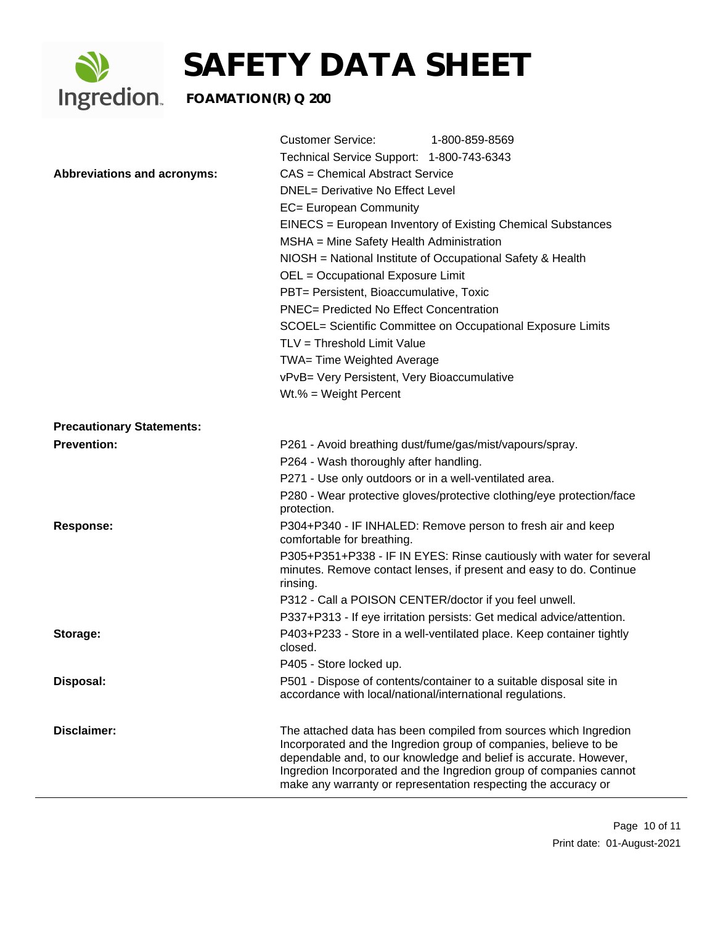

|                                    | <b>Customer Service:</b>                                                                              | 1-800-859-8569                                                                                                                                                                                                                                                                                                                                    |  |
|------------------------------------|-------------------------------------------------------------------------------------------------------|---------------------------------------------------------------------------------------------------------------------------------------------------------------------------------------------------------------------------------------------------------------------------------------------------------------------------------------------------|--|
|                                    | Technical Service Support: 1-800-743-6343                                                             |                                                                                                                                                                                                                                                                                                                                                   |  |
| <b>Abbreviations and acronyms:</b> | CAS = Chemical Abstract Service                                                                       |                                                                                                                                                                                                                                                                                                                                                   |  |
|                                    | <b>DNEL= Derivative No Effect Level</b>                                                               |                                                                                                                                                                                                                                                                                                                                                   |  |
|                                    | EC= European Community                                                                                |                                                                                                                                                                                                                                                                                                                                                   |  |
|                                    | EINECS = European Inventory of Existing Chemical Substances                                           |                                                                                                                                                                                                                                                                                                                                                   |  |
|                                    | MSHA = Mine Safety Health Administration                                                              |                                                                                                                                                                                                                                                                                                                                                   |  |
|                                    | NIOSH = National Institute of Occupational Safety & Health                                            |                                                                                                                                                                                                                                                                                                                                                   |  |
|                                    | OEL = Occupational Exposure Limit                                                                     |                                                                                                                                                                                                                                                                                                                                                   |  |
|                                    |                                                                                                       | PBT= Persistent, Bioaccumulative, Toxic                                                                                                                                                                                                                                                                                                           |  |
|                                    | <b>PNEC= Predicted No Effect Concentration</b>                                                        |                                                                                                                                                                                                                                                                                                                                                   |  |
|                                    | SCOEL= Scientific Committee on Occupational Exposure Limits                                           |                                                                                                                                                                                                                                                                                                                                                   |  |
|                                    | TLV = Threshold Limit Value                                                                           |                                                                                                                                                                                                                                                                                                                                                   |  |
|                                    | TWA= Time Weighted Average<br>vPvB= Very Persistent, Very Bioaccumulative<br>$Wt.\% = Weight Percent$ |                                                                                                                                                                                                                                                                                                                                                   |  |
|                                    |                                                                                                       |                                                                                                                                                                                                                                                                                                                                                   |  |
|                                    |                                                                                                       |                                                                                                                                                                                                                                                                                                                                                   |  |
|                                    |                                                                                                       |                                                                                                                                                                                                                                                                                                                                                   |  |
| <b>Precautionary Statements:</b>   |                                                                                                       |                                                                                                                                                                                                                                                                                                                                                   |  |
| <b>Prevention:</b>                 | P261 - Avoid breathing dust/fume/gas/mist/vapours/spray.                                              |                                                                                                                                                                                                                                                                                                                                                   |  |
|                                    | P264 - Wash thoroughly after handling.                                                                |                                                                                                                                                                                                                                                                                                                                                   |  |
|                                    | P271 - Use only outdoors or in a well-ventilated area.                                                |                                                                                                                                                                                                                                                                                                                                                   |  |
|                                    | protection.                                                                                           | P280 - Wear protective gloves/protective clothing/eye protection/face                                                                                                                                                                                                                                                                             |  |
| <b>Response:</b>                   | P304+P340 - IF INHALED: Remove person to fresh air and keep<br>comfortable for breathing.             |                                                                                                                                                                                                                                                                                                                                                   |  |
|                                    |                                                                                                       | P305+P351+P338 - IF IN EYES: Rinse cautiously with water for several                                                                                                                                                                                                                                                                              |  |
|                                    | rinsing.                                                                                              | minutes. Remove contact lenses, if present and easy to do. Continue                                                                                                                                                                                                                                                                               |  |
|                                    |                                                                                                       | P312 - Call a POISON CENTER/doctor if you feel unwell.                                                                                                                                                                                                                                                                                            |  |
|                                    |                                                                                                       | P337+P313 - If eye irritation persists: Get medical advice/attention.                                                                                                                                                                                                                                                                             |  |
| Storage:                           | closed.                                                                                               | P403+P233 - Store in a well-ventilated place. Keep container tightly                                                                                                                                                                                                                                                                              |  |
|                                    | P405 - Store locked up.                                                                               |                                                                                                                                                                                                                                                                                                                                                   |  |
| Disposal:                          | accordance with local/national/international regulations.                                             | P501 - Dispose of contents/container to a suitable disposal site in                                                                                                                                                                                                                                                                               |  |
|                                    |                                                                                                       |                                                                                                                                                                                                                                                                                                                                                   |  |
| Disclaimer:                        |                                                                                                       | The attached data has been compiled from sources which Ingredion<br>Incorporated and the Ingredion group of companies, believe to be<br>dependable and, to our knowledge and belief is accurate. However,<br>Ingredion Incorporated and the Ingredion group of companies cannot<br>make any warranty or representation respecting the accuracy or |  |
|                                    |                                                                                                       |                                                                                                                                                                                                                                                                                                                                                   |  |